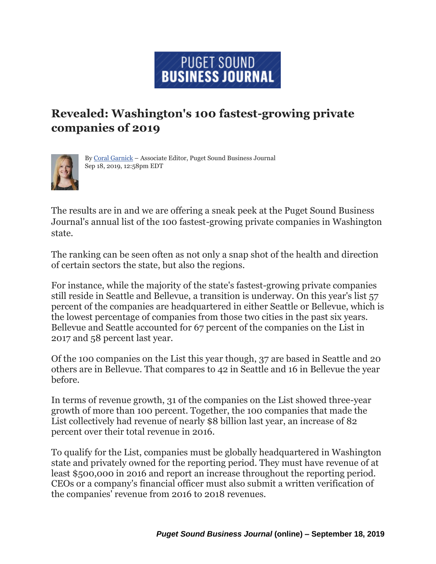## **PUGET SOUND BUSINESS JOURNAL**

## **Revealed: Washington's 100 fastest-growing private companies of 2019**



By Coral [Garnick](https://www.bizjournals.com/seattle/bio/33472/Coral+Garnick) – [Associate Editor, Puget Sound Business Journal](https://www.bizjournals.com/seattle/bio/33472/Coral+Garnick) [Sep 18, 2019, 12:58pm EDT](https://www.bizjournals.com/seattle/bio/33472/Coral+Garnick)

The results are in and we are offering a sneak peek at the Puget Sound Business Journal's annual list of the 100 fastest-growing private companies in Washington state.

The ranking can be seen often as not only a snap shot of the health and direction of certain sectors the state, but also the regions.

For instance, while the majority of the state's fastest-growing private companies still reside in Seattle and Bellevue, a transition is underway. On this year's list 57 percent of the companies are headquartered in either Seattle or Bellevue, which is the lowest percentage of companies from those two cities in the past six years. Bellevue and Seattle accounted for 67 percent of the companies on the List in 2017 and 58 percent last year.

Of the 100 companies on the List this year though, 37 are based in Seattle and 20 others are in Bellevue. That compares to 42 in Seattle and 16 in Bellevue the year before.

In terms of revenue growth, 31 of the companies on the List showed three-year growth of more than 100 percent. Together, the 100 companies that made the List collectively had revenue of nearly \$8 billion last year, an increase of 82 percent over their total revenue in 2016.

To qualify for the List, companies must be globally headquartered in Washington state and privately owned for the reporting period. They must have revenue of at least \$500,000 in 2016 and report an increase throughout the reporting period. CEOs or a company's financial officer must also submit a written verification of the companies' revenue from 2016 to 2018 revenues.